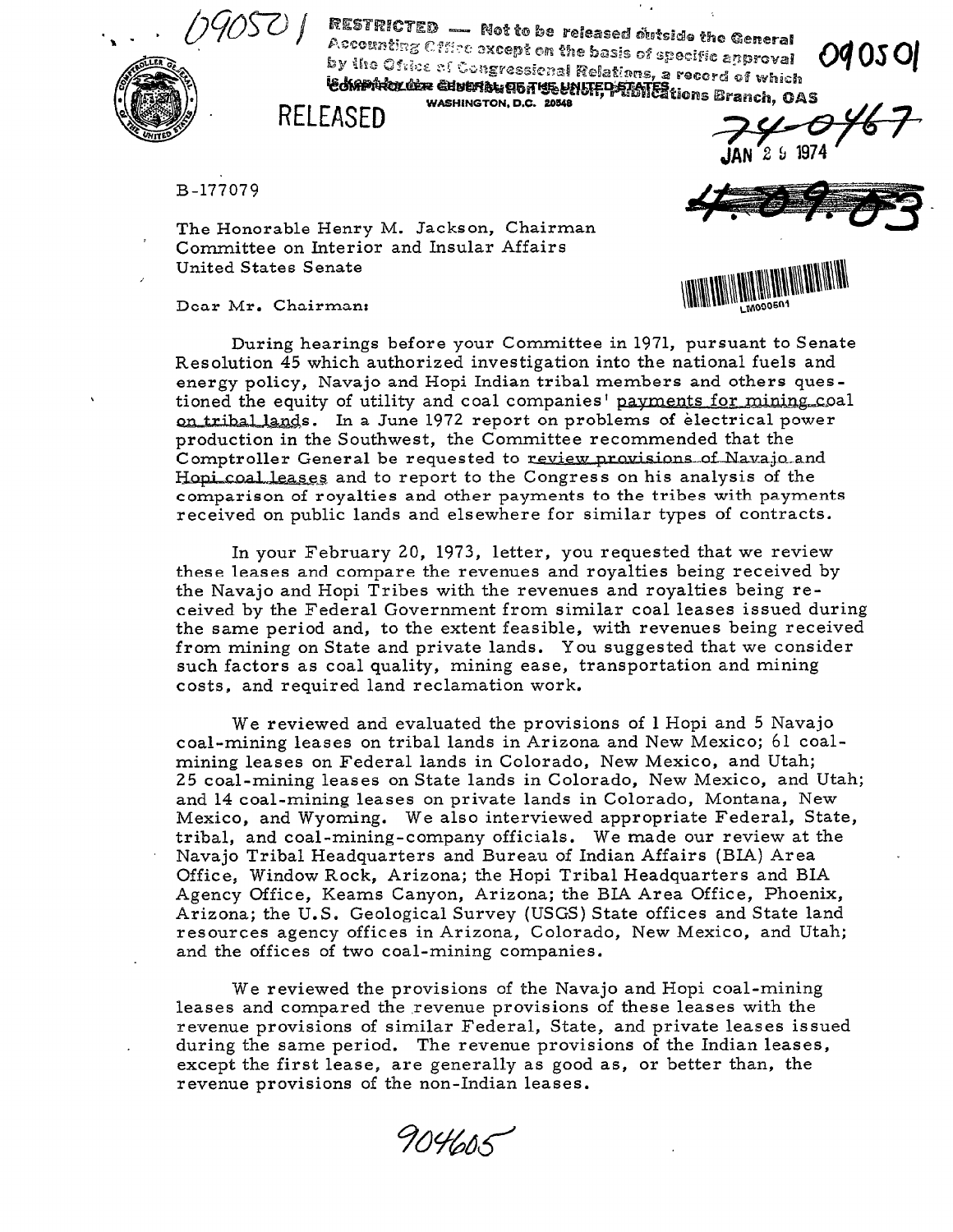

RESTRICTED — Not to be released outside the General Accounting Cffice except on the basis of specific approval<br>by the Osiac of Sun webplom the basis of specific approval by the Office of Conservation and wasts or specific approval<br>is kention and conservational Relations, a record of which **CONSTRUSSIONS Religious, a record of which**<br>**Edminiculum Charles Construct Construct Constructions Branch, OAS** 

WASHINGTON, D.C. 20348

 $2\,$  5  $\,$  19  $\,$ 

B-177079

The Honorable Henry M. Jackson, Chairman Committee on Interior and Insular Affairs United States Senate

Dear Mr. Chairman:



During hearings before your Committee in 1971, pursuant to Senate Resolution 45 which authorized investigation into the national fuels and energy policy, Navajo and Hopi Indian tribal members and others questioned the equity of utility and coal companies' payments for mining coal on tribal lands. In a June 1972 report on problems of electrical power production in the Southwest, the Committee recommended that the Comptroller General be requested to review provisions of Navajo and Hopi coal leases and to report to the Congress on his analysis of the comparison of royalties and other payments to the tribes with payments received on public lands and elsewhere for similar types of contracts.

In your February 20, 1973, letter, you requested that we review these leases and compare the revenues and royalties being received by the Navajo and Hopi Tribes with the revenues and royalties being received by the Federal Government from similar coal leases issued during the same period and, to the extent feasible, with revenues being received from mining on State and private lands. You suggested that we consider such factors as coal quality, mining ease, transportation and mining costs, and required land reclamation work.

We reviewed and evaluated the provisions of 1 Hopi and 5 Navajo coal-mining leases on tribal lands in Arizona and New Mexico; 61 coalmining leases on Federal lands in Colorado, New Mexico, and Utah; 25 coal-mining leases on State lands in Colorado, New Mexico, and Utah; and 14 coal-mining leases on private lands in Colorado, Montana, New Mexico, and Wyoming. We also interviewed appropriate Federal, State, tribal, and coal-mining-company officials. We made our review at the Navajo Tribal Headquarters and Bureau of Indian Affairs (BIA) Area Office, Window Rock, Arizona; the Hopi Tribal Headquarters and BIA Agency Office, Keams Canyon, Arizona; the BIA Area Office, Phoenix, Arizona; the U.S. Geological Survey (USGS) State offices and State land resources agency offices in Arizona, Colorado, New Mexico, and Utah; and the offices of two coal-mining companies.

We reviewed the provisions of the Navajo and Hopi coal-mining leases and compared the revenue provisions of these leases with the reases and compared are revenue provisions of arese icases with the during provisions of similar redetar, other, and private reases is during the same period. The revenue provisions of the Indian leases, except the first lease, are generally as good as, or better than, the revenue provisions of the non-Indian leases.

904605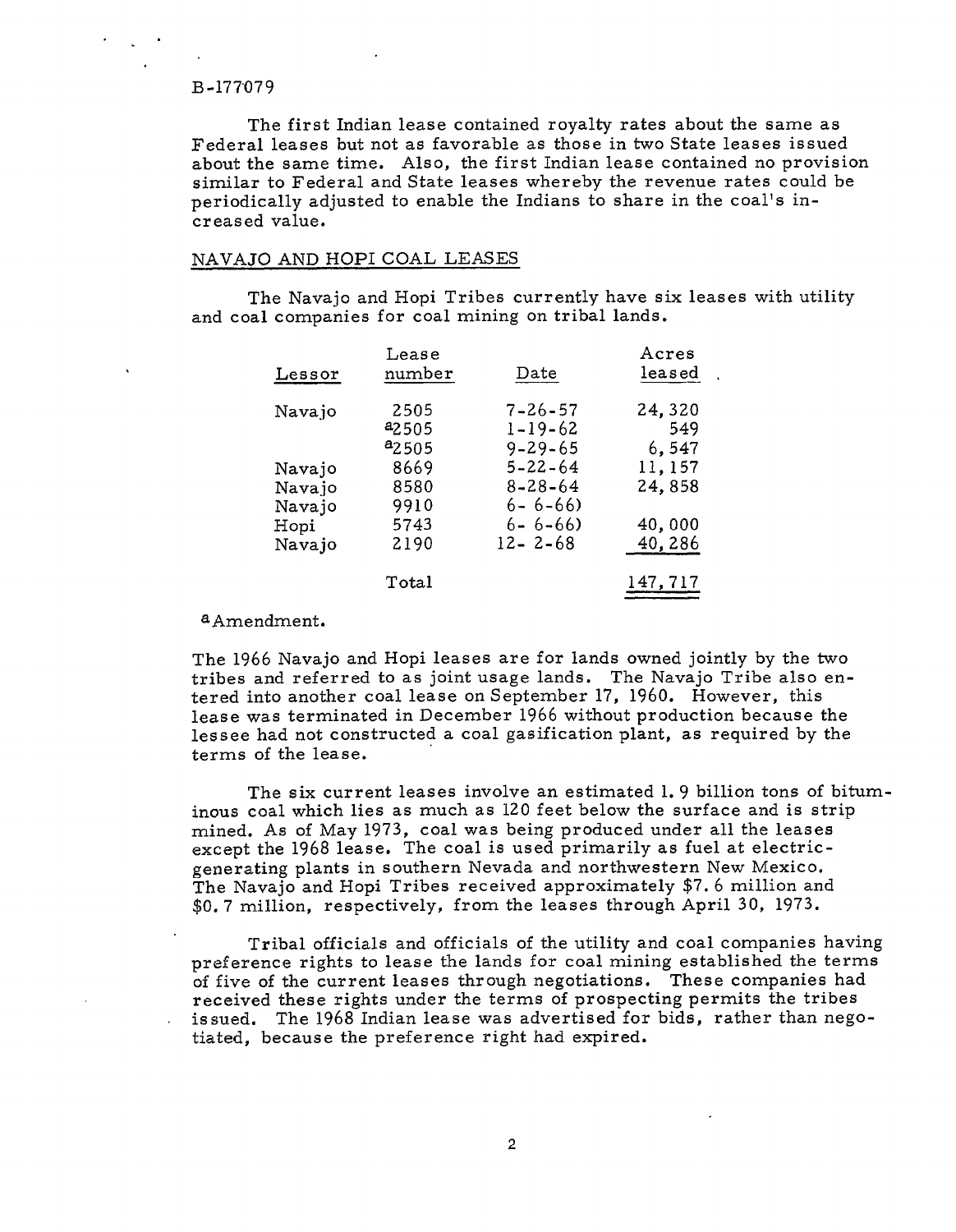The first Indian lease contained royalty rates about the same as Federal leases but not as favorable as those in two State leases issued about the same time. Also, the first Indian lease contained no provision similar to Federal and State leases whereby the revenue rates could be periodically adjusted to enable the Indians to share in the coal's increased value.

# NAVAJO AND HOPI COAL LEASES

The Navajo and Hopi Tribes currently have six leases with utility and coal companies for coal mining on tribal lands.

| $_{\rm Lessor}$          | Lease<br>number                   | Date                                            | Acres<br>leased           |
|--------------------------|-----------------------------------|-------------------------------------------------|---------------------------|
| Navajo                   | 2505<br><sup>a</sup> 2505         | $7 - 26 - 57$<br>$1 - 19 - 62$                  | 24,320<br>549             |
| Navajo<br>Navajo         | <sup>a</sup> 2505<br>8669<br>8580 | $9 - 29 - 65$<br>$5 - 22 - 64$<br>$8 - 28 - 64$ | 6,547<br>11,157<br>24,858 |
| Navajo<br>Hopi<br>Navajo | 9910<br>5743<br>2190              | $6 - 6 - 66$<br>$6 - 6 - 66$<br>$12 - 2 - 68$   | 40,000<br>40,286          |
|                          | $\mathtt{Total}$                  |                                                 | 147,717                   |

## aAmendment.

The 1966 Navajo and Hopi leases are for lands owned jointly by the two the 1966 navajo and riopi teases are for fands owned jointly by the two tribes and referred to as joint usage lands. The Navajo Tribe also entered into another coal lease on September 17, 1960. However, this lease was terminated in December 1966 without production because the lessee had not constructed a coal gasification plant, as required by the terms of the lease.

The six current leases involve an estimated 1.9 billion tons of bituminous coal which lies as much as 120 feet below the surface and is strip mined. As of May 1973, coal was being produced under all the lea except the 1968 lease. The coal is used primarily as fuel at elect: generating plants in southern Nevada and northwestern New Mexico. The Navajo and Hopi Tribes received approximately \$7.6 million and \$0.7 million, respectively, from the leases through April 30, 1973.

Tribal officials and officials of the utility and coal companies having preference rights to lease the lands for coal mining established the terms. of five of the current leases through negotiations. These companies had received these rights under the terms of prospecting permits the tribes issued. The 1968 Indian lease was advertised for bids, rather than negotiated, because the preference right had expired.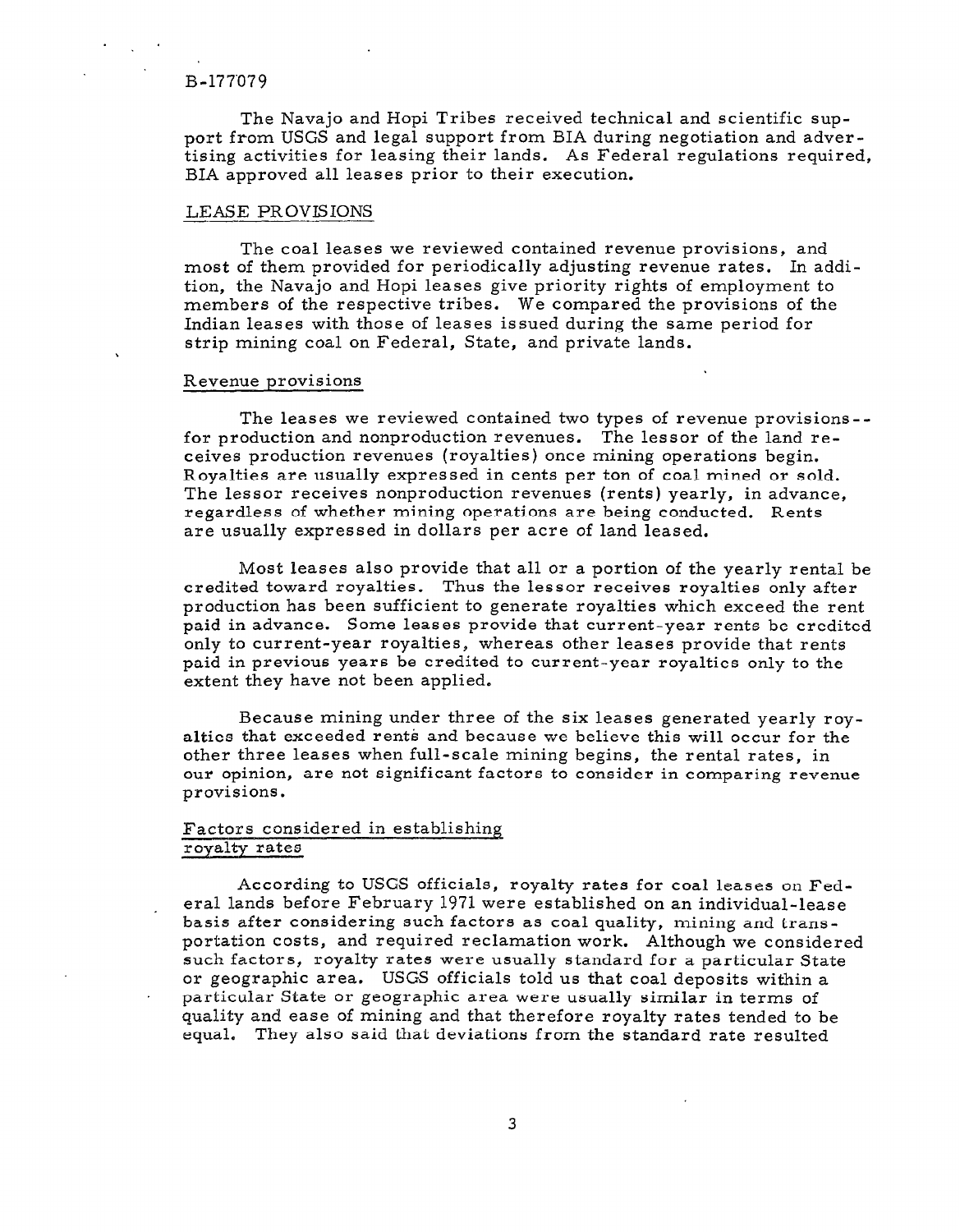The Navajo and Hopi Tribes received technical and scientific support from USGS and legal support from BIA during negotiation and advertising activities for leasing their lands. As Federal regulations required, BIA approved all leases prior to their execution.

# LEASE PROVISIONS

The coal leases we reviewed contained revenue provisions, and most of them provided for periodically adjusting revenue rates. In addition, the Navajo and Hopi leases give priority rights of employment to members of the respective tribes. We compared the provisions of the Indian leases with those of leases is sued during the same period for strip mining coal on Federal, State, and private lands.

## Revenue provisions

The leases we reviewed contained two types of revenue provisions- for production and nonproduction revenues. The lessor of the land receives production revenues (royalties) once mining operations begin. Royalties are usually expressed in cents per ton of coal mined or sold. The lessor receives nonproduction revenues (rents) yearly, in advance, regardless of whether mining operations are being conducted. Rents are usually expressed in dollars per acre of land leased.

Most leases also provide that all or a portion of the yearly rental be credited toward royalties. Thus the lessor receives royalties only after production has been sufficient to generate royalties which exceed the rent paid in advance. Some leases provide that current-year rents be credited only to current-year royalties, whereas other leases provide that rents paid in previous years be credited to current-year royalties only to the extent they have not been applied.

Because mining under three of the six leases generated yearly royalties that exceeded rents and because we believe this will occur for the other three leases when full-scale mining begins, the rental rates, in our opinion, are not significant factors to consider in comparing revenue provisions.

# Factors considered in establishing royalty rates

According to USGS officials, royalty rates for coal leases on Federal lands before February 1971 were established on an individual-lease basis after considering such factors as coal quality, mining and transportation costs, and required reclamation work. Although we considered such factors, royalty rates were usually standard for a particular State or geographic area. USGS officials told us that coal deposits within a particular State or geographic area were usually similar in terms of quality and ease of mining and that therefore royalty rates tended to be equal, They also said that deviations from the standard rate resulted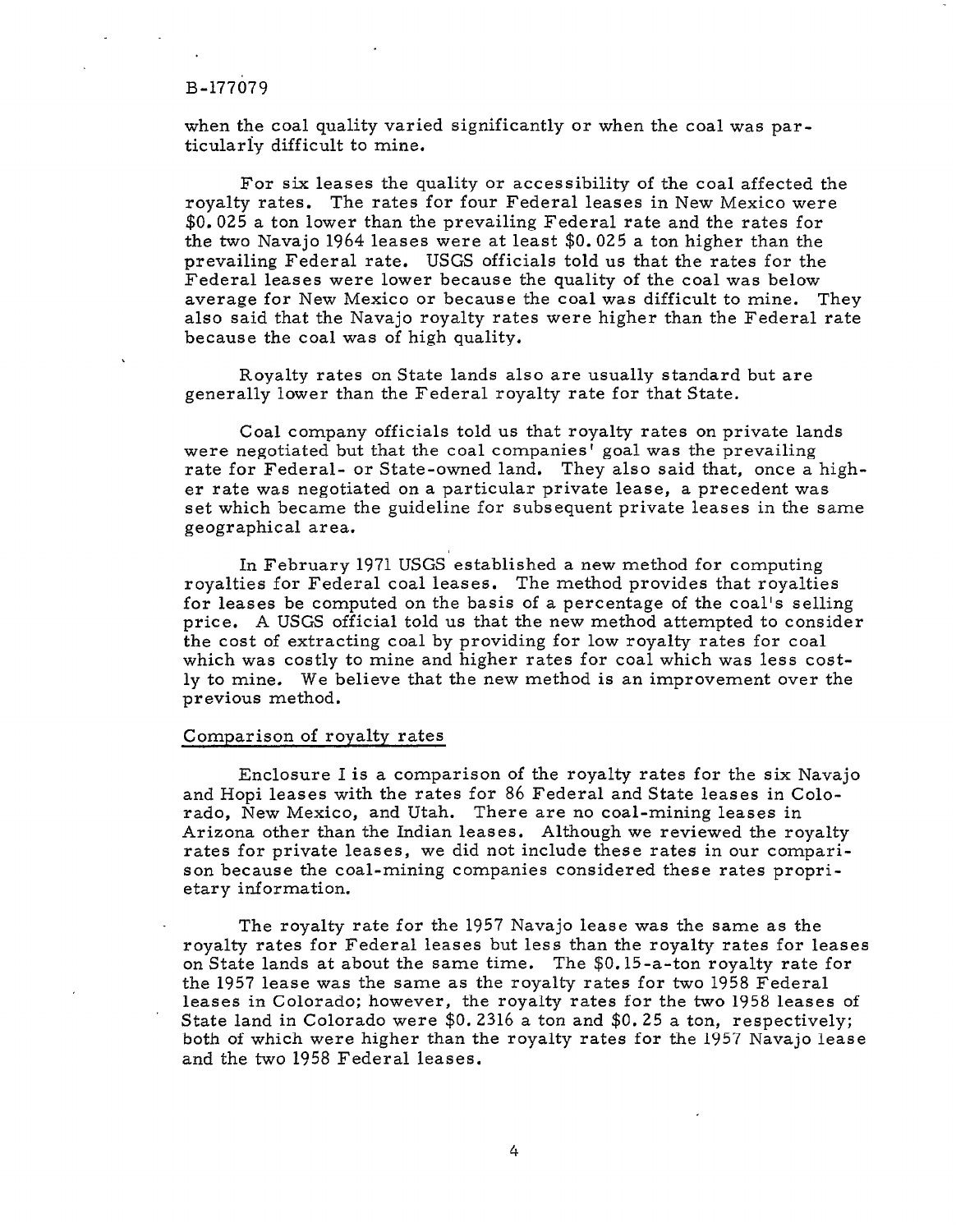when the coal quality varied significantly or when the coal was particulariy difficult to mine.

For six leases the quality or accessibility of the coal affected the royalty rates. The rates for four Federal leases in New Mexico were \$0.025 a ton lower than the prevailing Federal rate and the rates for the two Navajo 1964 leases were at least \$0.025 a ton higher than the prevailing Federal rate. USGS officials told us that the rates for the Federal leases were lower because the quality of the coal was below average for New Mexico or because the coal was difficult to mine. They also said that the Navajo royalty rates were higher than the Federal rate because the coal was of high quality.

Royalty rates on State lands also are usually standard but are generally lower than the Federal royalty rate for that State.

Coal company officials told us that royalty rates on private lands were negotiated but that the coal companies' goal was the prevailing rate for Federal- or State-owned land. They also said that, once a higher rate was negotiated on a particular private lease, a precedent was et rate was hegotiated on a particular private fease, a precedent was set which became

In February 1971 USGS established a new method for computing in Federal provides established a new method for computing royalties for Federal coal leases. The method provides that royalties for leases be computed on the basis of a percentage of the coal's selling price. A USGS official told us that the new method attempted to consider the cost of extracting coal by providing for low royalty rates for coal which was costly to mine and higher rates for coal which was less costly to mine. We believe that the new method is an improvement over the previous method.

Enclosure I is a comparison of the royalty rates for the six Navajo and Hopi leases with the rates for 86 Federal and State leases in Colorado, New Mexico, and Utah. There are no coal-mining leases in Arizona other than the Indian leases. Although we reviewed the royalty rates for private leases, we did not include these rates in our comparison because the coal-mining companies considered these rates proprietary information.

The royalty rate for the 1957 Navajo lease was the same as the royalty rates for Federal leases but less than the royalty rates for leases on State lands at about the same time. The \$0.15-a-ton royalty rate for the 1957 lease was the same as the royalty rates for two 1958 Federal leases in Colorado; however, the royalty rates for the two 1958 leases of State land in Colorado were \$0.2316 a ton and \$0.25 a ton, respectively; both of which were higher than the royalty rates for the 1957 Navajo lease and the two 1958 Federal leases.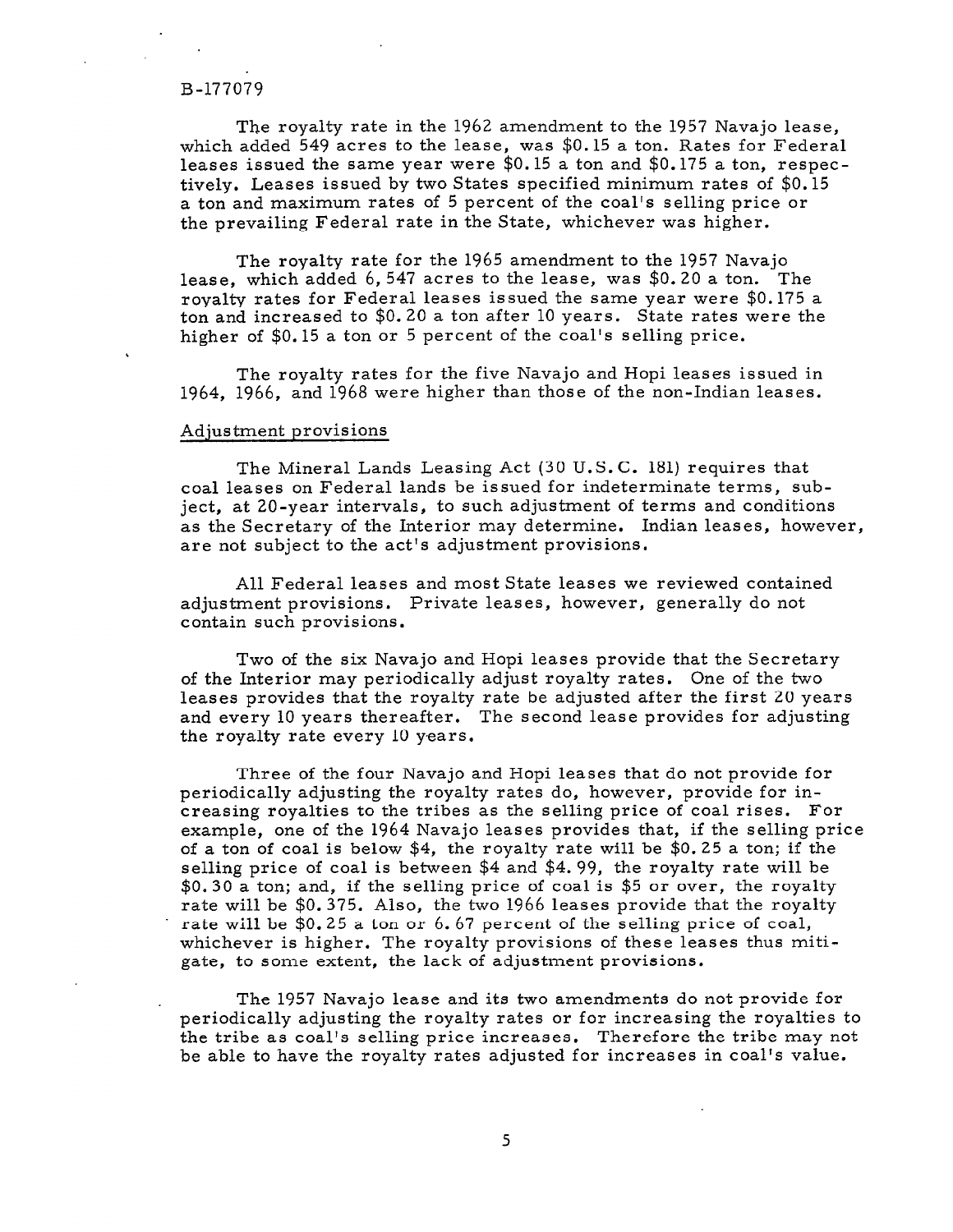The royalty rate in the 1962 amendment to the 1957 Navajo lease, which added 549 acres to the lease, was \$0.15 a ton. Rates for Federal leases issued the same year were \$0.15 a ton and \$0.175 a ton, respectively, Leases issued by two States specified minimum rates of \$0.15 a ton and maximum rates of 5 percent of the coal's selling price or the prevailing Federal rate in the State, whichever was higher.

The royalty rate for the 1965 amendment to the 1957 Navajo lease, which added 6,547 acres to the lease, was \$0.20 a ton. The royalty rates for Federal leases issued the same year were \$0.175 a ton and increased to \$0.20 a ton after 10 years. State rates were the higher of \$0.15 a ton or 5 percent of the coal's selling price.

The royalty rates for the five Navajo and Hopi leases issued in 1964, 1966, and 1968 were higher than those of the non-Indian leases.

## Adjustment provisions

The Mineral Lands Leasing Act (30 U.S.C. 181) requires that coal leases on Federal lands be issued for indeterminate terms, subject, at 20-year intervals, to such adjustment of terms and conditions as the Secretary of the Interior may determine. Indian leases, however. are not subject to the act's adjustment provisions.

All Federal leases and most State leases we reviewed contained adjustment provisions. Private leases, however, generally do not contain such provisions.

Two of the six Navajo and Hopi leases provide that the Secretary of the Interior may periodically adjust royalty rates. One of the two leases provides that the royalty rate be adjusted after the first 20 years and every 10 years thereafter. The second lease provides for adjusting the royalty rate every 10 years.

Three of the four Navajo and Hopi leases that do not provide for periodically adjusting the royalty rates do, however, provide for increasing royalties to the tribes as the selling price of coal rises. For example, one of the 1964 Navajo leases provides that, if the selling price of a ton of coal is below \$4, the royalty rate will be \$0.25 a ton; if the selling price of coal is between \$4 and \$4. 99, the royalty rate will be \$0. 30 a ton; and, if the selling price of coal is \$5 or over, the royalty rate will be \$0. 375. Also, the two 1966 leases provide that the royalty rate will be \$0.25 a ton or 6. 67 percent of the selling price of coal, whichever is higher. The royalty provisions of these leases thus mitigate, to some extent, the lack of adjustment provisions.

The 1957 Navajo lease and its two amendments do not provide for periodical ly adjusting the royalties of the royalties to reduce the royalties to the royalties to the royalties to periodically adjusting the troyancy rates of for increasing the troyantes to the tribe as coal's selling price increases. Therefore the tribe may not be able to have the royalty rates adjusted for increases in coal's value.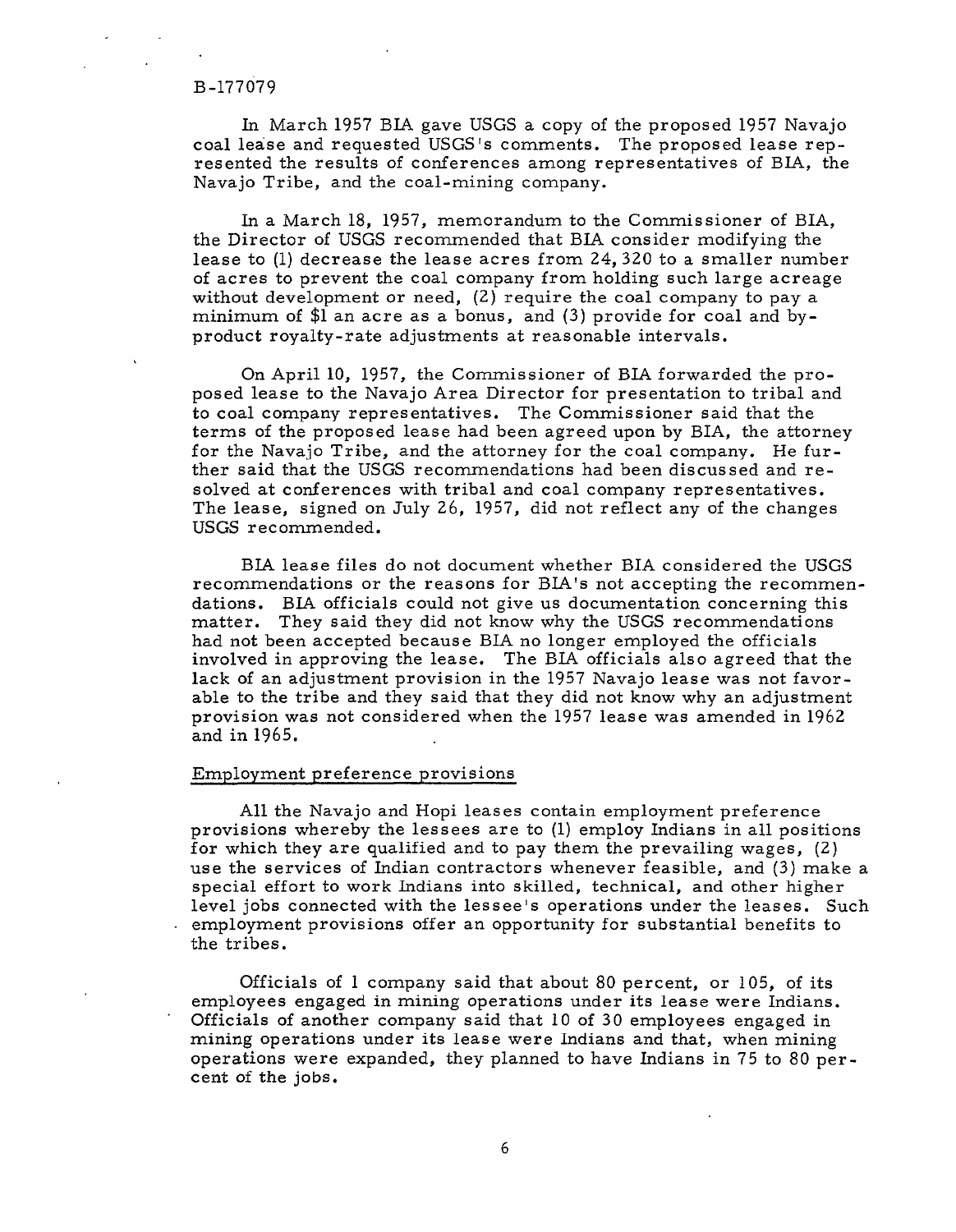In March 1957 BIA. gave USGS a copy of the proposed 1957 Navajo coal lease and requested USGS's comments. The proposed lease represented the results of conferences among representatives of BIA, the Navajo Tribe, and the coal-mining company.

In a March 18, 1957, memorandum to the Commissioner of BIA, the Director of USGS recommended that BIA consider modifying the lease to (1) decrease the lease acres from 24,320 to a smaller number of acres to prevent the coal company from holding such large acreage without development or need, (2) require the coal company to pay a minimum of \$1 an acre as a bonus, and (3) provide for coal and byproduct royalty-rate adjustments at reasonable intervals.

On April 10, 1957, the Commissioner of BIA forwarded the proposed lease to the Navajo Area Director for presentation to tribal and to coal company representatives. The Commissioner said that the terms of the proposed lease had been agreed upon by BIA, the attorney for the Navajo Tribe, and the attorney for the coal company. He further said that the USGS recommendations had been discussed and reshot bald and die obes for the first model ned book dibedbood. Solved at comerences with these and coal company representatives The lease, signed on July 26, 1957, did not reflect any of the changes USGS recommended.

BIA lease files do not document whether BIA considered the USGS platies are reasons for the recommendations for the recommendations of  $\alpha$ recommendations or the reasons for BIA's not accepting the recommendations. BIA officials could not give us documentation concerning this matter. They said they did not know why the USGS recommendations had not been accepted because BIA no longer employed the officials involved in approving the lease. The BIA officials also agreed that the lack of an adjustment provision in the 1957 Navajo lease was not favorable to the tribe and they said that they did not know why an adjustment provision was not considered when the 1957 lease was amended in 1962<br>and in 1965.

All the Navajo and Hopi leases contain employment preference provisions whereby the lessees are to  $(1)$  employ Indians in all positions for which they are qualified and to pay them the prevailing wages,  $(2)$ use the services of Indian contractors whenever feasible, and (3) make a special effort to work Indians into skilled, technical, and other higher level jobs connected with the lessee's operations under the leases. Such employment provisions offer an opportunity for substantial benefits to the tribes.

Officials of  $l$  company said that about 80 percent, or 105, of its employees engaged in mining operations under its lease were Indians. Officials of another company said that  $10$  of 30 employees engaged in mining operations under its lease were Indians and that, when mining operations were expanded, they planned to have Indians in 75 to 80 percent of the jobs.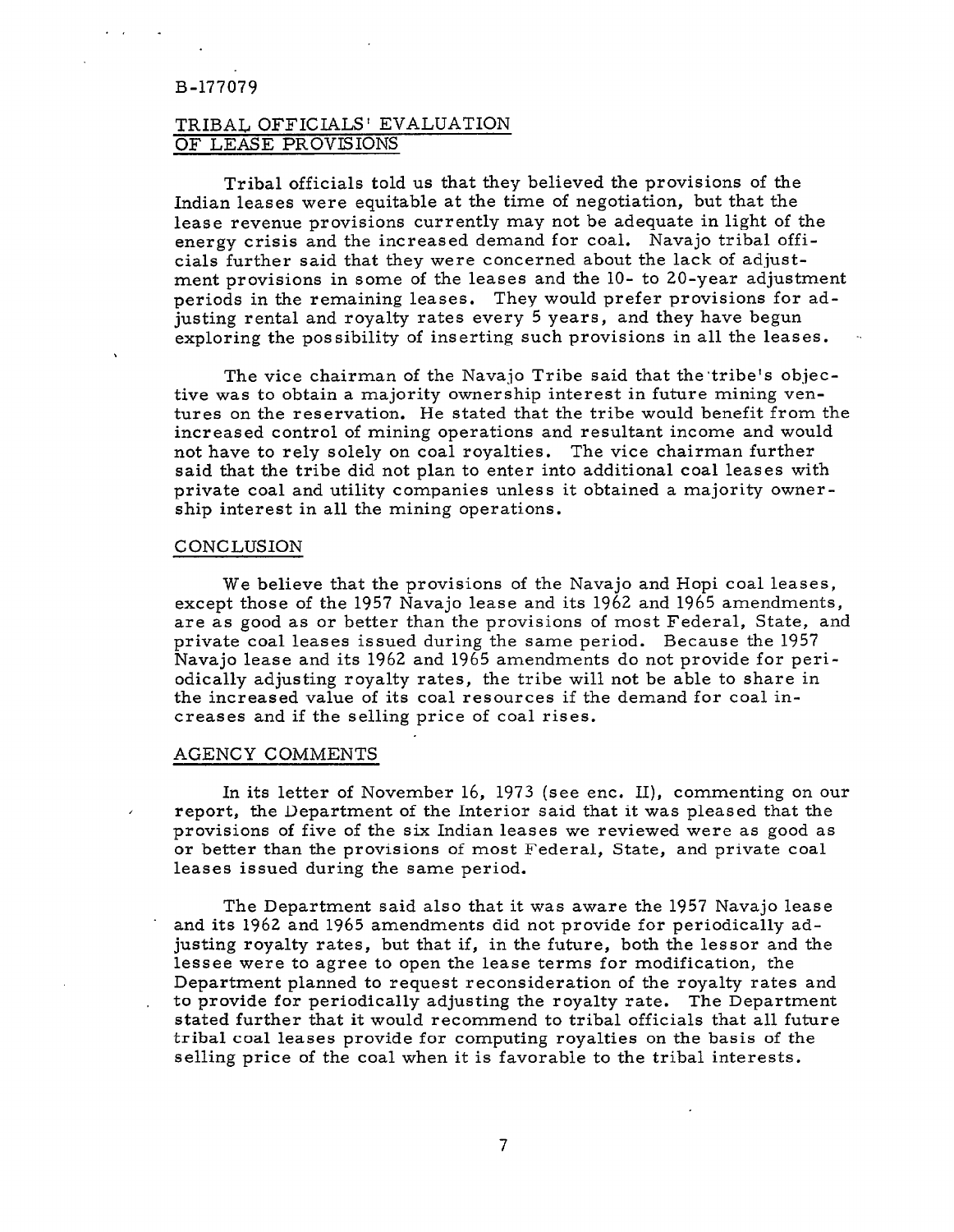# TRIBAL OFFICIALS' EVALUATION OF LEASE PROVISIONS

Tribal officials told us that they believed the provisions of the Indian leases were equitable at the time of negotiation, but that the lease revenue provisions currently may not be adequate in light of the energy crisis and the increased demand for coal. Navajo tribal officials further said that they were concerned about the lack of adjustment provisions in some of the leases and the 10- to 20-year adjustment periods in the remaining leases. They would prefer provisions for adjusting rental and royalty rates every 5 years, and they have begun exploring the possibility of inserting such provisions in all the leases.

The vice chairman of the Navajo Tribe said that the tribe's objective was to obtain a majority ownership interest in future mining ventures on the reservation. He stated that the tribe would benefit from the increased control of mining operations and resultant income and would not have to rely solely on coal royalties. The vice chairman further said that the tribe did not plan to enter into additional coal leases with private coal and utility companies unless it obtained a majority ownership interest in all the mining operations.

#### CONCLUSION

We believe that the provisions of the Navajo and Hopi coal leases, except those of the 1957 Navajo lease and its 1962 and 1965 amendments, are as good as or better than the provisions of most Federal, State, and private coal leases issued during the same period. Because the 1957 Navajo lease and its 1962 and 1965 amendments do not provide for periodically adjusting royalty rates, the tribe will not be able to share in the increased value of its coal resources if the demand for coal increases and if the selling price of coal rises.

# AGENCY COMMENTS

In its letter of November 16, 1973 (see enc. II), commenting on our report, the Department of the Interior said that it was pleased that the provisions of five of the six Indian leases we reviewed were as good as or better than the provisions of most Federal, State, and private coal leases issued during the same period.

The Department said also that it was aware the 1957 Navajo lease . and its 1962 and 1965 amendments did not provide for periodically adjusting royalty rates, but that if, in the future, both the lessor and the lessee were to agree to open the lease terms for modification, the Department planned to request reconsideration of the royalty rates and . to provide for periodically adjusting the royalty rate. The Department stated further that it would recommend to tribal officials that all future tribal coal leases provide for computing royalties on the basis of the selling price of the coal when it is favorable to the tribal interests.